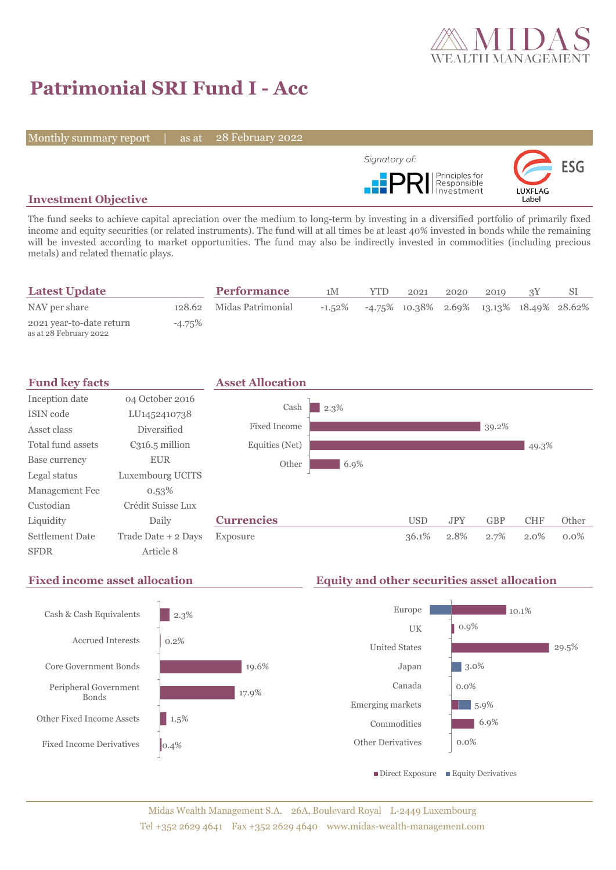

# **Patrimonial SRI Fund I - Acc**

Monthly summary report | as at

28 February 2022



### **Investment Objective**

The fund seeks to achieve capital apreciation over the medium to long-term by investing in a diversified portfolio of primarily fixed income and equity securities (or related instruments). The fund will at all times be at least 40% invested in bonds while the remaining will be invested according to market opportunities. The fund may also be indirectly invested in commodities (including precious metals) and related thematic plays.

| <b>Latest Update</b>                               |        | <b>Performance</b>       | 1М        | <b>YTD</b> | 2021                                        | 2020 | 2010 |  |
|----------------------------------------------------|--------|--------------------------|-----------|------------|---------------------------------------------|------|------|--|
| NAV per share                                      |        | 128.62 Midas Patrimonial | $-1.52\%$ |            | $-4.75\%$ 10.38% 2.69% 13.13% 18.49% 28.62% |      |      |  |
| 2021 year-to-date return<br>as at 28 February 2022 | -4.75% |                          |           |            |                                             |      |      |  |





## **Fixed income asset allocation Equity and other securities asset allocation**

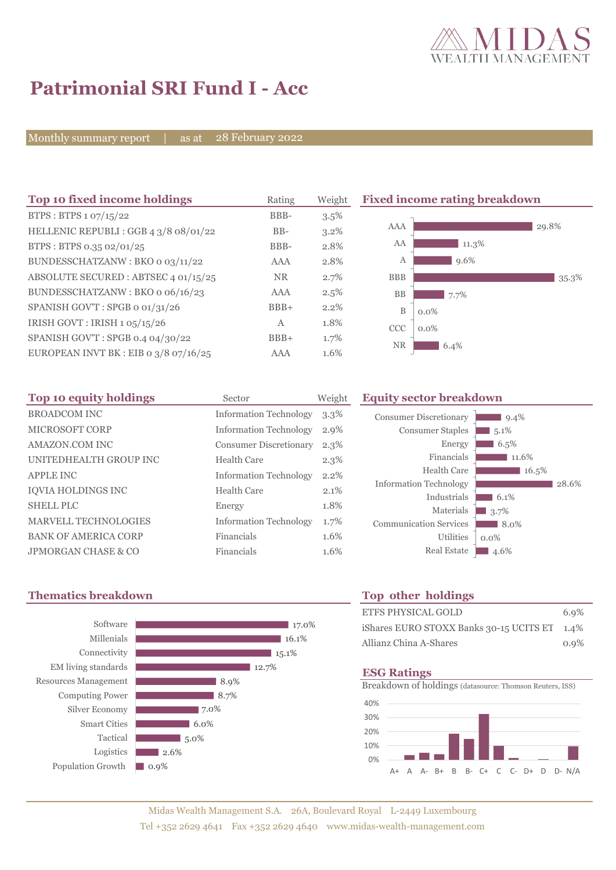

# **Patrimonial SRI Fund I - Acc**

Monthly summary report | as at 28 February 2022

| Top 10 fixed income holdings            | Rating     | Weight  | <b>Fixed income rating breakdown</b> |
|-----------------------------------------|------------|---------|--------------------------------------|
| BTPS : BTPS $1.07/15/22$                | BBB-       | $3.5\%$ |                                      |
| HELLENIC REPUBLI : GGB 4 3/8 08/01/22   | $BB-$      | $3.2\%$ | AAA<br>29.8%                         |
| BTPS: BTPS 0.35 02/01/25                | BBB-       | 2.8%    | AA<br>11.3%                          |
| BUNDESSCHATZANW: BKO o 03/11/22         | <b>AAA</b> | 2.8%    | $9.6\%$<br>А                         |
| ABSOLUTE SECURED : ABTSEC 4 01/15/25    | NR.        | 2.7%    | <b>BBB</b><br>35.3%                  |
| BUNDESSCHATZANW: BKO o 06/16/23         | AAA        | 2.5%    | BB<br>7.7%                           |
| SPANISH GOV'T: SPGB o 01/31/26          | $BBB+$     | 2.2%    | B<br>$0.0\%$                         |
| IRISH GOVT : IRISH $1.05/15/26$         | A          | 1.8%    | <b>CCC</b><br>$0.0\%$                |
| SPANISH GOV'T: SPGB 0.4 04/30/22        | $BBB+$     | 1.7%    |                                      |
| EUROPEAN INVT BK : EIB o $3/8$ 07/16/25 | AAA        | 1.6%    | <b>NR</b><br>6.4%                    |

| Top 10 equity holdings      | Sector                        | Weight  |
|-----------------------------|-------------------------------|---------|
| <b>BROADCOM INC</b>         | <b>Information Technology</b> | $3.3\%$ |
| <b>MICROSOFT CORP</b>       | <b>Information Technology</b> | 2.9%    |
| AMAZON.COM INC              | <b>Consumer Discretionary</b> | $2.3\%$ |
| UNITEDHEALTH GROUP INC      | Health Care                   | 2.3%    |
| <b>APPLE INC</b>            | <b>Information Technology</b> | 2.2%    |
| <b>IQVIA HOLDINGS INC</b>   | Health Care                   | 2.1%    |
| <b>SHELL PLC</b>            | Energy                        | 1.8%    |
| <b>MARVELL TECHNOLOGIES</b> | <b>Information Technology</b> | 1.7%    |
| <b>BANK OF AMERICA CORP</b> | Financials                    | 1.6%    |
| JPMORGAN CHASE & CO         | Financials                    | 1.6%    |

# **Equity sector breakdown**

| <b>Consumer Discretionary</b> | $9.4\%$ |
|-------------------------------|---------|
| <b>Consumer Staples</b>       | 5.1%    |
| Energy                        | 6.5%    |
| Financials                    | 11.6%   |
| Health Care                   | 16.5%   |
| <b>Information Technology</b> | 28.6%   |
| Industrials                   | 6.1%    |
| Materials                     | 3.7%    |
| <b>Communication Services</b> | 8.0%    |
| <b>Utilities</b>              | $0.0\%$ |
| <b>Real Estate</b>            | 4.6%    |
|                               |         |

## **Thematics breakdown Top other holdings**



| ETFS PHYSICAL GOLD                           | 6.9%    |
|----------------------------------------------|---------|
| iShares EURO STOXX Banks 30-15 UCITS ET 1.4% |         |
| Allianz China A-Shares                       | $0.9\%$ |

### **ESG Ratings**

Breakdown of holdings (datasource: Thomson Reuters, ISS)